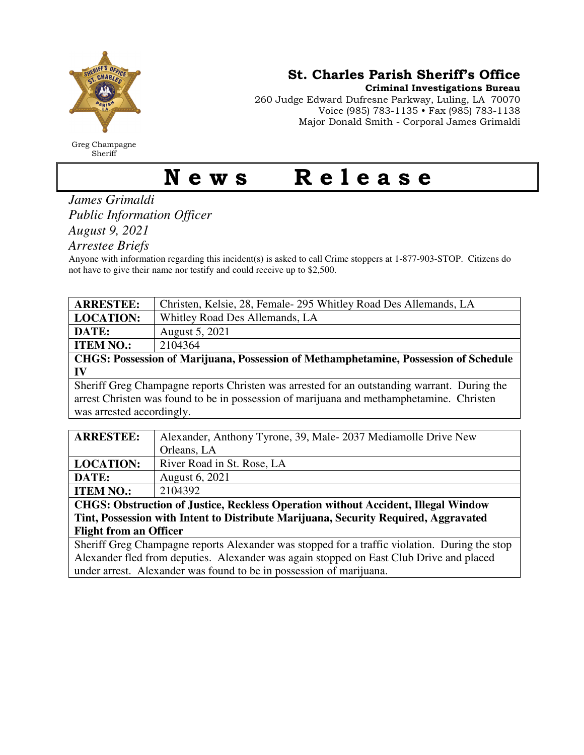

Greg Champagne Sheriff

St. Charles Parish Sheriff's Office

Criminal Investigations Bureau

260 Judge Edward Dufresne Parkway, Luling, LA 70070 Voice (985) 783-1135 • Fax (985) 783-1138 Major Donald Smith - Corporal James Grimaldi

## News Release

*James Grimaldi Public Information Officer August 9, 2021* 

*Arrestee Briefs* 

Anyone with information regarding this incident(s) is asked to call Crime stoppers at 1-877-903-STOP. Citizens do not have to give their name nor testify and could receive up to \$2,500.

| <b>ARRESTEE:</b>                                                                            | Christen, Kelsie, 28, Female 295 Whitley Road Des Allemands, LA |  |
|---------------------------------------------------------------------------------------------|-----------------------------------------------------------------|--|
| <b>LOCATION:</b>                                                                            | Whitley Road Des Allemands, LA                                  |  |
| DATE:                                                                                       | August 5, 2021                                                  |  |
| <b>ITEM NO.:</b>                                                                            | 2104364                                                         |  |
| CHGS: Possession of Marijuana, Possession of Methamphetamine, Possession of Schedule        |                                                                 |  |
| IV                                                                                          |                                                                 |  |
| Sheriff Greg Champagne reports Christen was arrested for an outstanding warrant. During the |                                                                 |  |
| arrest Christen was found to be in possession of marijuana and methamphetamine. Christen    |                                                                 |  |
| was arrested accordingly.                                                                   |                                                                 |  |
|                                                                                             |                                                                 |  |
| <b>ARRESTEE:</b>                                                                            | Alexander, Anthony Tyrone, 39, Male-2037 Mediamolle Drive New   |  |
|                                                                                             | $O$ rloong I A                                                  |  |

|                                                                                                                                                                                                                                                                                                                                                                                                                                                                                                                           | Orleans, LA                |  |
|---------------------------------------------------------------------------------------------------------------------------------------------------------------------------------------------------------------------------------------------------------------------------------------------------------------------------------------------------------------------------------------------------------------------------------------------------------------------------------------------------------------------------|----------------------------|--|
| <b>LOCATION:</b>                                                                                                                                                                                                                                                                                                                                                                                                                                                                                                          | River Road in St. Rose, LA |  |
| DATE:                                                                                                                                                                                                                                                                                                                                                                                                                                                                                                                     | <b>August 6, 2021</b>      |  |
| <b>ITEM NO.:</b>                                                                                                                                                                                                                                                                                                                                                                                                                                                                                                          | 2104392                    |  |
| $\overline{a} = \overline{a} \overline{a} \overline{a} \overline{a} \overline{a} \overline{a} \overline{a} \overline{a} \overline{a} \overline{a} \overline{a} \overline{a} \overline{a} \overline{a} \overline{a} \overline{a} \overline{a} \overline{a} \overline{a} \overline{a} \overline{a} \overline{a} \overline{a} \overline{a} \overline{a} \overline{a} \overline{a} \overline{a} \overline{a} \overline{a} \overline{a} \overline{a} \overline{a} \overline{a} \overline{a} \overline$<br>___<br>$\sim$ $\sim$ |                            |  |

**CHGS: Obstruction of Justice, Reckless Operation without Accident, Illegal Window Tint, Possession with Intent to Distribute Marijuana, Security Required, Aggravated Flight from an Officer** 

Sheriff Greg Champagne reports Alexander was stopped for a traffic violation. During the stop Alexander fled from deputies. Alexander was again stopped on East Club Drive and placed under arrest. Alexander was found to be in possession of marijuana.